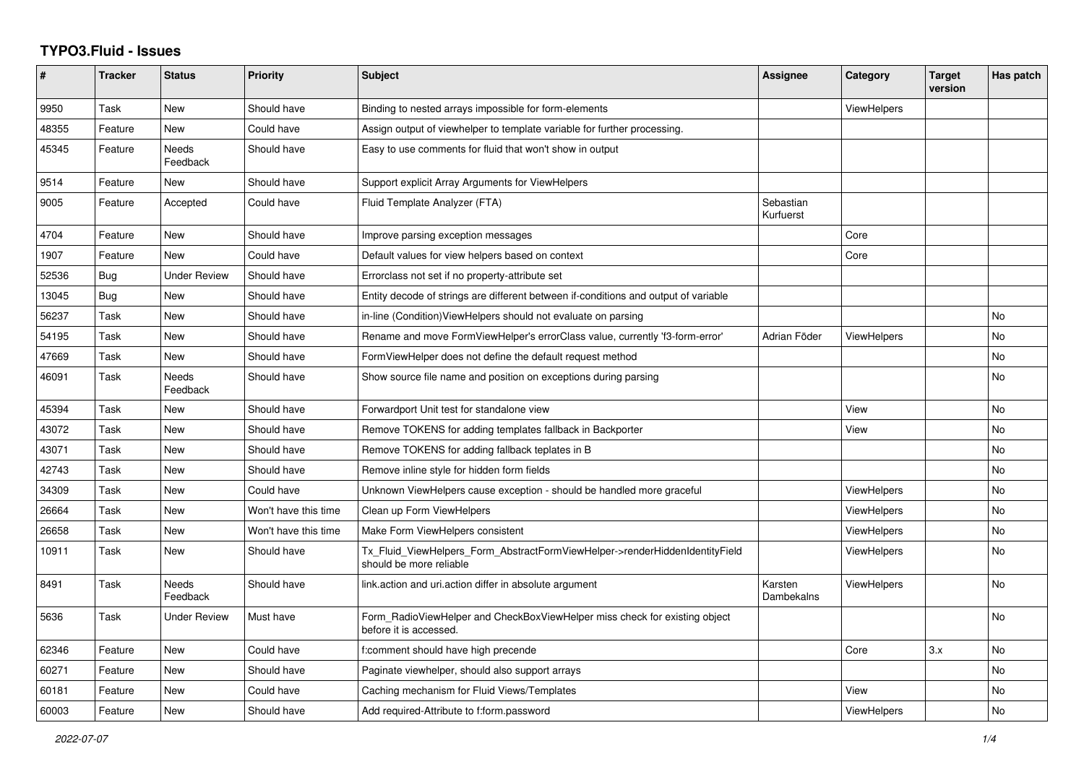## **TYPO3.Fluid - Issues**

| #     | <b>Tracker</b> | <b>Status</b>       | <b>Priority</b>      | <b>Subject</b>                                                                                         | <b>Assignee</b>        | Category           | <b>Target</b><br>version | Has patch |
|-------|----------------|---------------------|----------------------|--------------------------------------------------------------------------------------------------------|------------------------|--------------------|--------------------------|-----------|
| 9950  | Task           | New                 | Should have          | Binding to nested arrays impossible for form-elements                                                  |                        | <b>ViewHelpers</b> |                          |           |
| 48355 | Feature        | New                 | Could have           | Assign output of viewhelper to template variable for further processing.                               |                        |                    |                          |           |
| 45345 | Feature        | Needs<br>Feedback   | Should have          | Easy to use comments for fluid that won't show in output                                               |                        |                    |                          |           |
| 9514  | Feature        | New                 | Should have          | Support explicit Array Arguments for ViewHelpers                                                       |                        |                    |                          |           |
| 9005  | Feature        | Accepted            | Could have           | Fluid Template Analyzer (FTA)                                                                          | Sebastian<br>Kurfuerst |                    |                          |           |
| 4704  | Feature        | New                 | Should have          | Improve parsing exception messages                                                                     |                        | Core               |                          |           |
| 1907  | Feature        | <b>New</b>          | Could have           | Default values for view helpers based on context                                                       |                        | Core               |                          |           |
| 52536 | <b>Bug</b>     | <b>Under Review</b> | Should have          | Errorclass not set if no property-attribute set                                                        |                        |                    |                          |           |
| 13045 | <b>Bug</b>     | New                 | Should have          | Entity decode of strings are different between if-conditions and output of variable                    |                        |                    |                          |           |
| 56237 | Task           | <b>New</b>          | Should have          | in-line (Condition) View Helpers should not evaluate on parsing                                        |                        |                    |                          | <b>No</b> |
| 54195 | Task           | New                 | Should have          | Rename and move FormViewHelper's errorClass value, currently 'f3-form-error'                           | Adrian Föder           | ViewHelpers        |                          | <b>No</b> |
| 47669 | Task           | New                 | Should have          | FormViewHelper does not define the default request method                                              |                        |                    |                          | No        |
| 46091 | Task           | Needs<br>Feedback   | Should have          | Show source file name and position on exceptions during parsing                                        |                        |                    |                          | <b>No</b> |
| 45394 | Task           | New                 | Should have          | Forwardport Unit test for standalone view                                                              |                        | View               |                          | <b>No</b> |
| 43072 | Task           | New                 | Should have          | Remove TOKENS for adding templates fallback in Backporter                                              |                        | View               |                          | No        |
| 43071 | Task           | New                 | Should have          | Remove TOKENS for adding fallback teplates in B                                                        |                        |                    |                          | No        |
| 42743 | Task           | <b>New</b>          | Should have          | Remove inline style for hidden form fields                                                             |                        |                    |                          | <b>No</b> |
| 34309 | Task           | New                 | Could have           | Unknown ViewHelpers cause exception - should be handled more graceful                                  |                        | <b>ViewHelpers</b> |                          | No        |
| 26664 | Task           | New                 | Won't have this time | Clean up Form ViewHelpers                                                                              |                        | <b>ViewHelpers</b> |                          | <b>No</b> |
| 26658 | Task           | New                 | Won't have this time | Make Form ViewHelpers consistent                                                                       |                        | <b>ViewHelpers</b> |                          | No        |
| 10911 | Task           | New                 | Should have          | Tx_Fluid_ViewHelpers_Form_AbstractFormViewHelper->renderHiddenIdentityField<br>should be more reliable |                        | ViewHelpers        |                          | No        |
| 8491  | Task           | Needs<br>Feedback   | Should have          | link.action and uri.action differ in absolute argument                                                 | Karsten<br>Dambekalns  | <b>ViewHelpers</b> |                          | No        |
| 5636  | Task           | Under Review        | Must have            | Form RadioViewHelper and CheckBoxViewHelper miss check for existing object<br>before it is accessed.   |                        |                    |                          | No        |
| 62346 | Feature        | <b>New</b>          | Could have           | f:comment should have high precende                                                                    |                        | Core               | 3.x                      | <b>No</b> |
| 60271 | Feature        | New                 | Should have          | Paginate viewhelper, should also support arrays                                                        |                        |                    |                          | No        |
| 60181 | Feature        | New                 | Could have           | Caching mechanism for Fluid Views/Templates                                                            |                        | View               |                          | No        |
| 60003 | Feature        | New                 | Should have          | Add required-Attribute to f:form.password                                                              |                        | ViewHelpers        |                          | No        |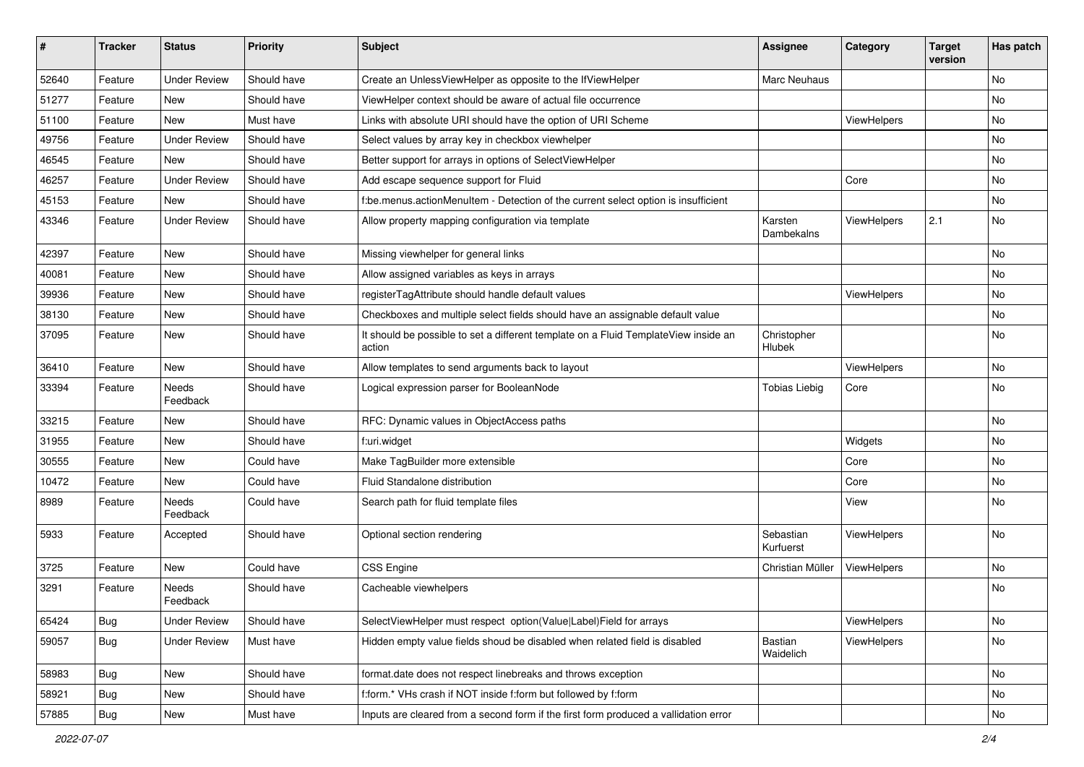| #     | <b>Tracker</b> | <b>Status</b>       | <b>Priority</b> | <b>Subject</b>                                                                                | <b>Assignee</b>        | Category    | <b>Target</b><br>version | Has patch |
|-------|----------------|---------------------|-----------------|-----------------------------------------------------------------------------------------------|------------------------|-------------|--------------------------|-----------|
| 52640 | Feature        | <b>Under Review</b> | Should have     | Create an UnlessViewHelper as opposite to the IfViewHelper                                    | Marc Neuhaus           |             |                          | <b>No</b> |
| 51277 | Feature        | New                 | Should have     | ViewHelper context should be aware of actual file occurrence                                  |                        |             |                          | No        |
| 51100 | Feature        | New                 | Must have       | Links with absolute URI should have the option of URI Scheme                                  |                        | ViewHelpers |                          | No        |
| 49756 | Feature        | <b>Under Review</b> | Should have     | Select values by array key in checkbox viewhelper                                             |                        |             |                          | No        |
| 46545 | Feature        | New                 | Should have     | Better support for arrays in options of SelectViewHelper                                      |                        |             |                          | No        |
| 46257 | Feature        | <b>Under Review</b> | Should have     | Add escape sequence support for Fluid                                                         |                        | Core        |                          | No        |
| 45153 | Feature        | New                 | Should have     | f:be.menus.actionMenuItem - Detection of the current select option is insufficient            |                        |             |                          | No        |
| 43346 | Feature        | <b>Under Review</b> | Should have     | Allow property mapping configuration via template                                             | Karsten<br>Dambekalns  | ViewHelpers | 2.1                      | No        |
| 42397 | Feature        | New                 | Should have     | Missing viewhelper for general links                                                          |                        |             |                          | No        |
| 40081 | Feature        | New                 | Should have     | Allow assigned variables as keys in arrays                                                    |                        |             |                          | No        |
| 39936 | Feature        | New                 | Should have     | registerTagAttribute should handle default values                                             |                        | ViewHelpers |                          | No        |
| 38130 | Feature        | New                 | Should have     | Checkboxes and multiple select fields should have an assignable default value                 |                        |             |                          | No        |
| 37095 | Feature        | New                 | Should have     | It should be possible to set a different template on a Fluid TemplateView inside an<br>action | Christopher<br>Hlubek  |             |                          | No        |
| 36410 | Feature        | New                 | Should have     | Allow templates to send arguments back to layout                                              |                        | ViewHelpers |                          | No        |
| 33394 | Feature        | Needs<br>Feedback   | Should have     | Logical expression parser for BooleanNode                                                     | <b>Tobias Liebig</b>   | Core        |                          | No        |
| 33215 | Feature        | New                 | Should have     | RFC: Dynamic values in ObjectAccess paths                                                     |                        |             |                          | No        |
| 31955 | Feature        | New                 | Should have     | f:uri.widget                                                                                  |                        | Widgets     |                          | No        |
| 30555 | Feature        | New                 | Could have      | Make TagBuilder more extensible                                                               |                        | Core        |                          | No        |
| 10472 | Feature        | New                 | Could have      | Fluid Standalone distribution                                                                 |                        | Core        |                          | No        |
| 8989  | Feature        | Needs<br>Feedback   | Could have      | Search path for fluid template files                                                          |                        | View        |                          | No        |
| 5933  | Feature        | Accepted            | Should have     | Optional section rendering                                                                    | Sebastian<br>Kurfuerst | ViewHelpers |                          | <b>No</b> |
| 3725  | Feature        | New                 | Could have      | CSS Engine                                                                                    | Christian Müller       | ViewHelpers |                          | No        |
| 3291  | Feature        | Needs<br>Feedback   | Should have     | Cacheable viewhelpers                                                                         |                        |             |                          | No        |
| 65424 | <b>Bug</b>     | <b>Under Review</b> | Should have     | SelectViewHelper must respect option(Value Label)Field for arrays                             |                        | ViewHelpers |                          | No        |
| 59057 | <b>Bug</b>     | <b>Under Review</b> | Must have       | Hidden empty value fields shoud be disabled when related field is disabled                    | Bastian<br>Waidelich   | ViewHelpers |                          | No        |
| 58983 | <b>Bug</b>     | New                 | Should have     | format.date does not respect linebreaks and throws exception                                  |                        |             |                          | No        |
| 58921 | <b>Bug</b>     | New                 | Should have     | f:form.* VHs crash if NOT inside f:form but followed by f:form                                |                        |             |                          | No        |
| 57885 | Bug            | New                 | Must have       | Inputs are cleared from a second form if the first form produced a vallidation error          |                        |             |                          | No        |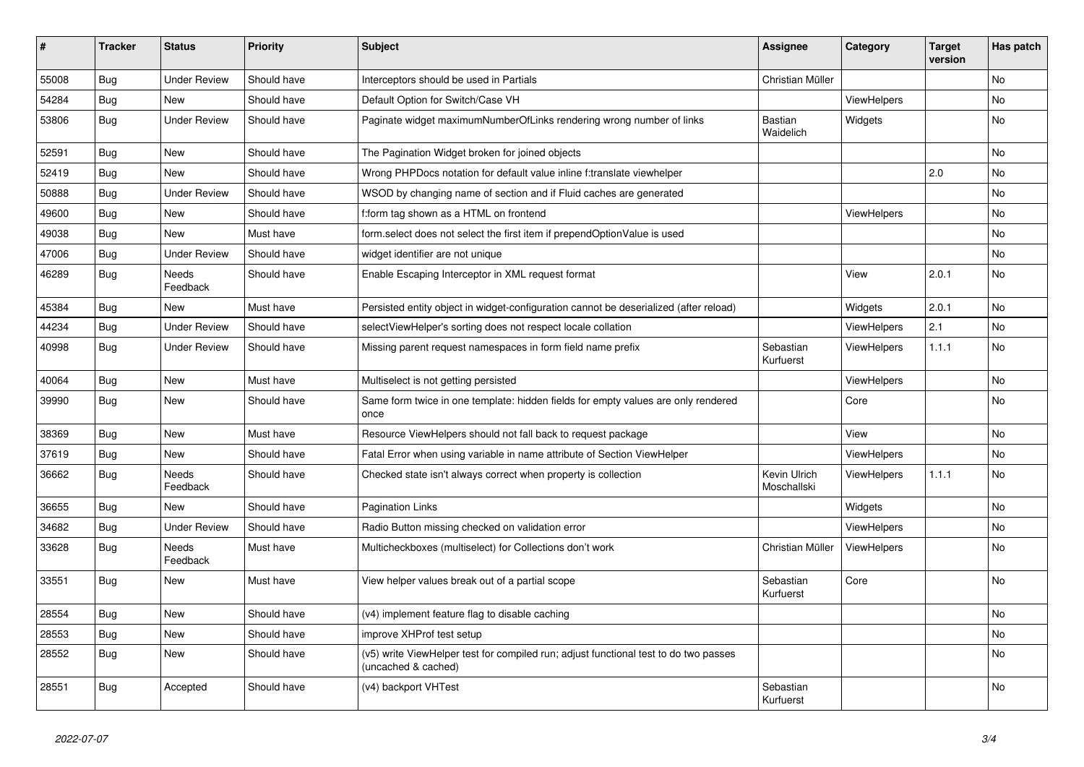| $\vert$ # | <b>Tracker</b> | <b>Status</b>            | <b>Priority</b> | <b>Subject</b>                                                                                              | Assignee                    | Category           | <b>Target</b><br>version | Has patch |
|-----------|----------------|--------------------------|-----------------|-------------------------------------------------------------------------------------------------------------|-----------------------------|--------------------|--------------------------|-----------|
| 55008     | <b>Bug</b>     | <b>Under Review</b>      | Should have     | Interceptors should be used in Partials                                                                     | Christian Müller            |                    |                          | <b>No</b> |
| 54284     | Bug            | New                      | Should have     | Default Option for Switch/Case VH                                                                           |                             | ViewHelpers        |                          | <b>No</b> |
| 53806     | Bug            | <b>Under Review</b>      | Should have     | Paginate widget maximumNumberOfLinks rendering wrong number of links                                        | Bastian<br>Waidelich        | Widgets            |                          | <b>No</b> |
| 52591     | Bug            | <b>New</b>               | Should have     | The Pagination Widget broken for joined objects                                                             |                             |                    |                          | <b>No</b> |
| 52419     | <b>Bug</b>     | New                      | Should have     | Wrong PHPDocs notation for default value inline f:translate viewhelper                                      |                             |                    | 2.0                      | No        |
| 50888     | <b>Bug</b>     | <b>Under Review</b>      | Should have     | WSOD by changing name of section and if Fluid caches are generated                                          |                             |                    |                          | No        |
| 49600     | <b>Bug</b>     | <b>New</b>               | Should have     | f:form tag shown as a HTML on frontend                                                                      |                             | ViewHelpers        |                          | <b>No</b> |
| 49038     | <b>Bug</b>     | New                      | Must have       | form.select does not select the first item if prependOptionValue is used                                    |                             |                    |                          | No        |
| 47006     | <b>Bug</b>     | <b>Under Review</b>      | Should have     | widget identifier are not unique                                                                            |                             |                    |                          | No        |
| 46289     | Bug            | Needs<br>Feedback        | Should have     | Enable Escaping Interceptor in XML request format                                                           |                             | View               | 2.0.1                    | No        |
| 45384     | <b>Bug</b>     | New                      | Must have       | Persisted entity object in widget-configuration cannot be deserialized (after reload)                       |                             | Widgets            | 2.0.1                    | No        |
| 44234     | <b>Bug</b>     | <b>Under Review</b>      | Should have     | selectViewHelper's sorting does not respect locale collation                                                |                             | ViewHelpers        | 2.1                      | <b>No</b> |
| 40998     | Bug            | Under Review             | Should have     | Missing parent request namespaces in form field name prefix                                                 | Sebastian<br>Kurfuerst      | <b>ViewHelpers</b> | 1.1.1                    | <b>No</b> |
| 40064     | <b>Bug</b>     | New                      | Must have       | Multiselect is not getting persisted                                                                        |                             | ViewHelpers        |                          | <b>No</b> |
| 39990     | Bug            | New                      | Should have     | Same form twice in one template: hidden fields for empty values are only rendered<br>once                   |                             | Core               |                          | <b>No</b> |
| 38369     | Bug            | <b>New</b>               | Must have       | Resource ViewHelpers should not fall back to request package                                                |                             | View               |                          | <b>No</b> |
| 37619     | Bug            | New                      | Should have     | Fatal Error when using variable in name attribute of Section ViewHelper                                     |                             | <b>ViewHelpers</b> |                          | <b>No</b> |
| 36662     | Bug            | <b>Needs</b><br>Feedback | Should have     | Checked state isn't always correct when property is collection                                              | Kevin Ulrich<br>Moschallski | <b>ViewHelpers</b> | 1.1.1                    | <b>No</b> |
| 36655     | <b>Bug</b>     | New                      | Should have     | Pagination Links                                                                                            |                             | Widgets            |                          | <b>No</b> |
| 34682     | <b>Bug</b>     | <b>Under Review</b>      | Should have     | Radio Button missing checked on validation error                                                            |                             | <b>ViewHelpers</b> |                          | <b>No</b> |
| 33628     | Bug            | Needs<br>Feedback        | Must have       | Multicheckboxes (multiselect) for Collections don't work                                                    | Christian Müller            | <b>ViewHelpers</b> |                          | <b>No</b> |
| 33551     | Bug            | New                      | Must have       | View helper values break out of a partial scope                                                             | Sebastian<br>Kurfuerst      | Core               |                          | <b>No</b> |
| 28554     | Bug            | <b>New</b>               | Should have     | (v4) implement feature flag to disable caching                                                              |                             |                    |                          | <b>No</b> |
| 28553     | Bug            | New                      | Should have     | improve XHProf test setup                                                                                   |                             |                    |                          | <b>No</b> |
| 28552     | Bug            | <b>New</b>               | Should have     | (v5) write ViewHelper test for compiled run; adjust functional test to do two passes<br>(uncached & cached) |                             |                    |                          | <b>No</b> |
| 28551     | Bug            | Accepted                 | Should have     | (v4) backport VHTest                                                                                        | Sebastian<br>Kurfuerst      |                    |                          | No        |